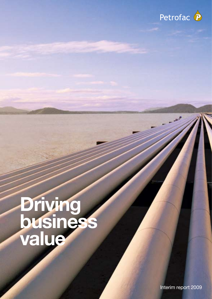

# **Driving** business value

Interim report 2009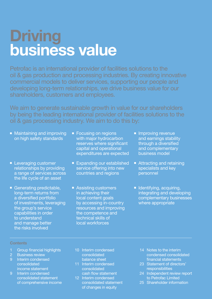# **Driving** business value

Petrofac is an international provider of facilities solutions to the oil & gas production and processing industries. By creating innovative commercial models to deliver services, supporting our people and developing long-term relationships, we drive business value for our shareholders, customers and employees.

We aim to generate sustainable growth in value for our shareholders by being the leading international provider of facilities solutions to the oil & gas processing industry. We aim to do this by:

- Maintaining and improving on high safety standards
- Leveraging customer relationships by providing a range of services across the life cycle of an asset
- Generating predictable, long-term returns from a diversified portfolio of investments, leveraging the group's service capabilities in order to understand and manage better the risks involved
- Focusing on regions with major hydrocarbon reserves where significant capital and operational expenditures are expected
- Expanding our established service offering into new countries and regions
- Assisting customers in achieving their local content goals by accessing in-country resources and improving the competence and technical skills of local workforces
- Improving revenue and earnings stability through a diversified and complementary business model
- Attracting and retaining specialists and key personnel
- **Identifying, acquiring,** integrating and developing complementary businesses where appropriate

### **Contents**

- 1 Group financial highlights<br>2 Business review
- 
- 9 Interim condensed consolidated income statement
- 9 Interim condensed consolidated statement of comprehensive income
- 10 Interim condensed consolidated balance sheet
- 11 Interim condensed **consolidated** cash flow statement
- 12 Interim condensed consolidated statement of changes in equity
- 14 Notes to the interim condensed consolidated financial statements
- 23 Statement of directors' responsibilities
- 24 Independent review report to Petrofac Limited
- 25 Shareholder information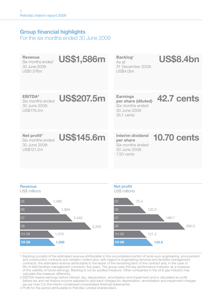### Group financial highlights

For the six months ended 30 June 2009

| Revenue<br>Six months ended<br>30 June 2008:<br>US\$1,576m             | <b>US\$1,586m</b> | Backlog <sup>1</sup><br>As at<br>31 December 2008:<br><b>US\$4.0bn</b>             | <b>US\$8.4bn</b>   |
|------------------------------------------------------------------------|-------------------|------------------------------------------------------------------------------------|--------------------|
| EBITDA <sup>2</sup><br>Six months ended<br>30 June 2008:<br>US\$179.2m | <b>US\$207.5m</b> | Earnings<br>per share (diluted)<br>Six months ended<br>30 June 2008:<br>35.1 cents | 42.7 cents         |
| Net profit $3$<br>Six months ended<br>30 June 2008:<br>US\$121.2m      | <b>US\$145.6m</b> | Interim dividend<br>per share<br>Six months ended<br>30 June 2008:<br>$7.50$ cents | <b>10.70 cents</b> |
| <b>Revenue</b>                                                         |                   | <b>Net profit</b>                                                                  |                    |





1 Backlog consists of the estimated revenue attributable to the uncompleted portion of lump-sum engineering, procurement and construction contracts and variation orders plus, with regard to engineering services and facilities management contracts, the estimated revenue attributable to the lesser of the remaining term of the contract and, in the case of life-of-field facilities management contracts, five years. The group uses this key performance indicator as a measure of the visibility of future earnings. Backlog is not an audited measure. Other companies in the oil & gas industry may calculate this measure differently.

2 EBITDA means earnings before interest, tax, depreciation, amortisation and impairment and is calculated as profit before tax and net finance income adjusted to add back charges for depreciation, amortisation and impairment charges (as per note 3 to the interim condensed consolidated financial statements).

3 Profit for the period attributable to Petrofac Limited shareholders.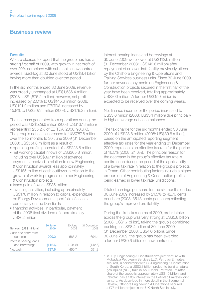### Business review

### Results

We are pleased to report that the group has had a strong first half of 2009, with growth in net profit of over 20% combined with substantial new contract awards. Backlog at 30 June stood at US\$8.4 billion, having more than doubled over the period.

In the six months ended 30 June 2009, revenue was broadly unchanged at US\$1,586.4 million (2008: US\$1,576.2 million), however, net profit increased by 20.1% to US\$145.6 million (2008: US\$121.2 million) and EBITDA increased by 15.8% to US\$207.5 million (2008: US\$179.2 million).

The net cash generated from operations during the period was US\$529.6 million (2008: US\$167.8million), representing 255.2% of EBITDA (2008: 93.6%). The group's net cash increased to US\$787.6 million over the six months to 30 June 2009 (31 December 2008: US\$551.8 million) as a result of:

- <sup>n</sup> operating profits generated of US\$223.8 million
- net working capital inflows of US\$305.8 million. including over US\$397 million of advance payments received in relation to new Engineering & Construction awards less approximately US\$185 million of cash outflows in relation to the growth of work in progress on other Engineering & Construction projects
- <sup>n</sup> taxes paid of over US\$35 million
- $\blacksquare$  investing activities, including approximately US\$176 million in relation to capital expenditure on Energy Developments' portfolio of assets, particularly on the Don fields
- $\blacksquare$  financing activities, in particular, payment of the 2008 final dividend of approximately US\$62 million

| Net cash (US\$ millions)                 | 30 June<br>2009 | 30 June<br>2008 | 31 December<br>2008 |
|------------------------------------------|-----------------|-----------------|---------------------|
| Cash and short-term<br>deposits          | 900.2           | 565.2           | 6944                |
| Interest-bearing loans<br>and borrowings | (112.6)         | (104.5)         | (142.6)             |
| Net cash                                 | 787.6           | 460.7           | 551.8               |

Interest-bearing loans and borrowings at 30 June 2009 were lower at US\$112.6 million (31 December 2008: US\$142.6 million) after repayment of an overdraft facility previously utilised by the Offshore Engineering & Operations and Training Services business units. Since 30 June 2009, further advance payments on Engineering & Construction projects secured in the first half of the year have been received, totalling approximately US\$200 million. A further US\$150 million is expected to be received over the coming weeks.

Net finance income for the period increased to US\$3.6 million (2008: US\$3.1 million) due principally to higher average net cash balances.

The tax charge for the six months ended 30 June 2009 of US\$28.8 million (2008: US\$39.6 million), based on the anticipated reporting segment effective tax rates for the year ending 31 December 2009, represents an effective tax rate for the period of 16.5% (2008: 24.6%). The principal reason for the decrease in the group's effective tax rate is confirmation during the period of the applicability of a lower tax rate in relation to the group's projects in Oman. Other contributing factors include a higher proportion of Engineering & Construction profits being earned in lower tax rate jurisdictions.

Diluted earnings per share for the six months ended 30 June 2009 increased by 21.5% to 42.70 cents per share (2008: 35.13 cents per share) reflecting the group's improved profitability.

During the first six months of 2009, order intake across the group was very strong at US\$5.8 billion (2008: US\$1.7 billion), taking the group's combined backlog to US\$8.4 billion at 30 June 2009 (31 December 2008: US\$4.0 billion). Since 30 June 2009, the group has been awarded a further US\$0.6 billion of new contracts<sup>1</sup>.

<sup>1</sup> In July, Engineering & Construction's joint venture with Mubadala Petroleum Services LLC, Petrofac Emirates, secured, in partnership with GS Engineering & Construction of South Korea, a US\$2.1 billion project to build a natural gas liquids (NGL) train in Abu Dhabi. Petrofac Emirates share of the scope is approximately US\$1.0 billion, and Petrofac has a 50% interest in the Petrofac Emirates joint venture. As described in more detail in the Segmental Review, Offshore Engineering & Operations secured a £75 million project in the UK North Sea in July.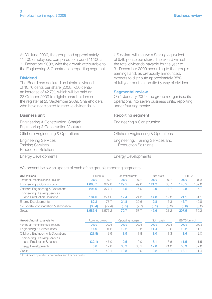At 30 June 2009, the group had approximately 11,400 employees, compared to around 11,100 at 31 December 2008, with the growth attributable to the Engineering & Construction reporting segment.

### **Dividend**

The Board has declared an interim dividend of 10.70 cents per share (2008: 7.50 cents), an increase of 42.7%, which will be paid on 23 October 2009 to eligible shareholders on the register at 25 September 2009. Shareholders who have not elected to receive dividends in

US dollars will receive a Sterling equivalent of 6.46 pence per share. The Board will set the total dividends payable for the year to 31 December 2009 according to the group's earnings and, as previously announced, expects to distribute approximately 35% of full year post tax profits by way of dividend.

### Segmental review

On 1 January 2009, the group reorganised its operations into seven business units, reporting under four segments:

| <b>Business unit</b>                                                                   | Reporting segment                                                 |  |
|----------------------------------------------------------------------------------------|-------------------------------------------------------------------|--|
| Engineering & Construction, Sharjah<br><b>Engineering &amp; Construction Ventures</b>  | Engineering & Construction                                        |  |
| Offshore Engineering & Operations                                                      | Offshore Engineering & Operations                                 |  |
| <b>Engineering Services</b><br><b>Training Services</b><br><b>Production Solutions</b> | Engineering, Training Services and<br><b>Production Solutions</b> |  |
| <b>Energy Developments</b>                                                             | <b>Energy Developments</b>                                        |  |

We present below an update of each of the group's reporting segments:

| US\$ millions                                              | Revenue |        | Operating profit <sup>1</sup> |       | Net profit |       | <b>EBITDA</b> |       |
|------------------------------------------------------------|---------|--------|-------------------------------|-------|------------|-------|---------------|-------|
| For the six months ended 30 June                           | 2009    | 2008   | 2009                          | 2008  | 2009       | 2008  | 2009          | 2008  |
| Engineering & Construction                                 | 1.060.7 | 922.8  | 129.5                         | 99.6  | 121.2      | 88.7  | 140.5         | 102.6 |
| Offshore Engineering & Operations                          | 294.9   | 377.1  | 4.5                           | 6.9   | 2.9        | 4.7   | 4.8           | 7.7   |
| Engineering, Training Services<br>and Production Solutions | 184.0   | 271.0  | 17.4                          | 24.3  | 14.8       | 17.8  | 21.1          | 31.1  |
| <b>Energy Developments</b>                                 | 82.2    | 77.7   | 24.8                          | 29.6  | 9.8        | 16.3  | 46.7          | 40.8  |
| Corporate, consolidation & elimination                     | (35.4)  | (72.4) | (5.5)                         | (2.7) | (3.1)      | (6.3) | (5.6)         | (3.0) |
| Group                                                      | .586.4  | .576.2 | 170.7                         | 157.7 | 145.6      | 121.2 | 207.5         | 179.2 |

| Growth/margin analysis %                                   | Revenue growth |      | Operating margin |      | Net margin |      | EBITDA margin |      |
|------------------------------------------------------------|----------------|------|------------------|------|------------|------|---------------|------|
| For the six months ended 30 June                           | 2009           | 2008 | 2009             | 2008 | 2009       | 2008 | 2009          | 2008 |
| Engineering & Construction                                 | 14.9           | 91.6 | 12.2             | 10.8 | 11.4       | 9.6  | 13.2          |      |
| Offshore Engineering & Operations                          | (21.8)         | 13.9 | 1.5              | 1.8  | 1.0        | 1.3  | 1.6           | 2.0  |
| Engineering, Training Services<br>and Production Solutions | (32.1)         | 47.0 | 9.5              | 9.0  |            | 6.6  | 11.5          | 11.5 |
| <b>Energy Developments</b>                                 | 5.8            | 12.8 | 30.2             | 38.  | 12.0       | 21.0 | 56.9          | 52.6 |
| Group                                                      | 0.7            | 49.  | 10.8             | 10.0 | 9.2        |      | 13.1          | 11.4 |

1 Profit from operations before tax and finance costs.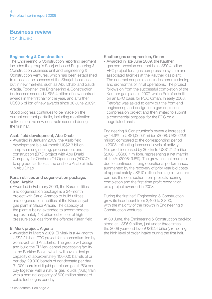### Business review continued

### Engineering & Construction

The Engineering & Construction reporting segment includes the group's Sharjah-based Engineering & Construction business unit and Engineering & Construction Ventures, which has been established to replicate the success of the Shariah business, but in new markets, such as Abu Dhabi and Saudi Arabia. Together, the Engineering & Construction businesses secured US\$5.4 billion of new contract awards in the first half of the year, and a further US\$0.5 billion of new awards since 30 June 2009\*.

Good progress continues to be made on the current contract portfolio, including mobilisation activities on the new contracts secured during the first half:

### Asab field development, Abu Dhabi

<sup>n</sup> Awarded in January 2009, the Asab field development is a 44-month US\$2.3 billion lump-sum engineering, procurement and construction (EPC) project with Abu Dhabi Company for Onshore Oil Operations (ADCO) to upgrade facilities at the onshore Asab oil field in Abu Dhabi

### Karan utilities and cogeneration package, Saudi Arabia

<sup>n</sup> Awarded in February 2009, the Karan utilities and cogeneration package is a 34-month project with Saudi Aramco to build utilities and cogeneration facilities at the Khursaniyah gas plant in Saudi Arabia. The capacity of the plant is being extended to accommodate approximately 1.8 billion cubic feet of high pressure sour gas from the offshore Karan field

### El Merk project, Algeria

<sup>n</sup> Awarded in March 2009, El Merk is a 44-month US\$2.2 billion EPC project for a consortium led by Sonatrach and Anadarko. The group will design and build the El Merk central processing facility in the Berkine Basin, which will have a design capacity of approximately 100,000 barrels of oil per day, 29,000 barrels of condensate per day, 31,000 barrels of liquid petroleum gas (LPG) per day together with a natural gas liquids (NGL) train with a nominal capacity of 600 million standard cubic feet of gas per day

### Kauther gas compression, Oman

<sup>n</sup> Awarded in late June 2009, the Kauther gas compression contract is a US\$0.4 billion EPC project for a gas compression system and associated facilities at the Kauther gas plant. The contract scope also includes commissioning and six months of initial operations. The project follows on from the successful completion of the Kauther gas plant in 2007, which Petrofac built on an EPC basis for PDO Oman. In early 2008, Petrofac was asked to carry out the front end engineering and design for a gas depletioncompression project and then invited to submit a commercial proposal for the EPC on a negotiated basis

Engineering & Construction's revenue increased by 14.9% to US\$1,060.7 million (2008: US\$922.8 million) compared to the corresponding period in 2008, reflecting increased levels of activity. Net profit increased by 36.6% to US\$121.2 million (2008: US\$88.7 million), representing a net margin of 11.4% (2008: 9.6%). The growth in net margin is due to continued strong operational performance, augmented by the recovery of prior year bid costs of approximately US\$10 million from a joint venture partner, the contribution from projects nearing completion and the first-time profit recognition on a project awarded in 2008.

During the first half, Engineering & Construction grew its headcount from 3,400 to 3,800, with the majority of the growth in Engineering & Construction Ventures.

At 30 June, the Engineering & Construction backlog stood at US\$6.9 billion, just under three times the 2008 year-end level (US\$2.4 billion), reflecting the high level of order intake during the first half.

<sup>\*</sup> See footnote 1 on page 2.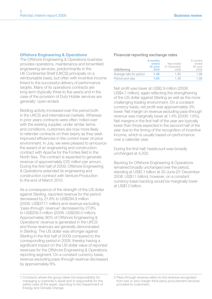### Offshore Engineering & Operations

The Offshore Engineering & Operations business provides operations, maintenance and brownfield engineering services, predominantly in the UK Continental Shelf (UKCS) principally on a reimbursable basis, but often with incentive income linked to the successful delivery of performance targets. Many of its operations contracts are long-term (typically three to five years) and in the case of the provision of Duty Holder services are generally<sup>1</sup> open-ended.

Bidding activity increased over the period both in the UKCS and international markets. Whereas in prior years contracts were often 'rolled-over' with the existing supplier, under similar terms and conditions, customers are now more likely to retender contracts on their expiry as they seek improved efficiencies in the current lower oil price environment. In July, we were pleased to announce the award of an engineering and construction contract with Apache for the Forties field in the North Sea. The contract is expected to generate revenue of approximately £25 million per annum. During the first half of 2009, Offshore Engineering & Operations extended its engineering and construction contract with Venture Production to the end of March 2010.

As a consequence of the strength of the US dollar against Sterling, reported revenue for the period decreased by 21.8% to US\$294.9 million (2008: US\$377.1 million) and revenue excluding 'pass-through' revenue<sup>2</sup> decreased by 27.8% to US\$209.3 million (2008: US\$290.0 million). Approximately 90% of Offshore Engineering & Operations' revenue is generated in the UKCS and those revenues are generally denominated in Sterling. The US dollar was stronger against Sterling in the first half of 2009 compared to the corresponding period in 2008, thereby having a significant impact on the US dollar value of reported revenues for the Offshore Engineering & Operations reporting segment. On a constant currency basis, revenue excluding pass-through revenue decreased by approximately 6%.

### Financial reporting exchange rates

| US\$/Sterling           | 6 months<br>ended<br>30 June<br>2009 | Year ended<br>31 December<br>2008 | 6 months<br>ended<br>30 June<br>2008 |
|-------------------------|--------------------------------------|-----------------------------------|--------------------------------------|
| Average rate for period | 1.49                                 | 185                               | 1.98                                 |
| Period-end rate         | 1.64                                 | 146                               | 1.99                                 |

Net profit was lower at US\$2.9 million (2008: US\$4.7 million), again reflecting the strengthening of the US dollar against Sterling as well as the more challenging trading environment. On a constant currency basis, net profit was approximately 3% lower. Net margin on revenue excluding pass-through revenue was marginally lower at 1.4% (2008: 1.6%). Net margins in the first half of the year are typically lower than those expected in the second half of the year due to the timing of the recognition of incentive income, which is usually based on performance over a calendar year.

During the first half, headcount was broadly unchanged at 4,200.

Backlog for Offshore Engineering & Operations remained broadly unchanged over the period, standing at US\$1.1 billion at 30 June (31 December 2008: US\$1.1 billion), however, on a constant currency basis backlog would be marginally lower at  $USS1 \cap$  billion.

<sup>1</sup> Contracts where the group takes full responsibility for managing a customer's asset and is responsible for the safety case of the asset, reporting to the Department of Energy and Climate Change.

<sup>2</sup> Pass-through revenue refers to the revenue recognised from low or zero margin third-party procurement services provided to customers.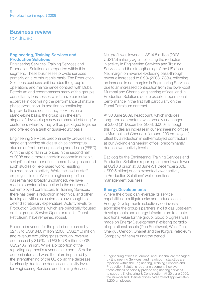# Business review

continued

### Engineering, Training Services and Production Solutions

Engineering Services, Training Services and Production Solutions are reported within this segment. These businesses provide services primarily on a reimbursable basis. The Production Solutions business unit includes the group's operations and maintenance contract with Dubai Petroleum and encompasses many of the group's consultancy businesses which have particular expertise in optimising the performance of mature phase production. In addition to continuing to provide these consultancy services on a stand-alone basis, the group is in the early stages of developing a new commercial offering for customers whereby they will be packaged together and offered on a tariff or quasi-equity basis.

Engineering Services predominantly provides early stage engineering studies such as conceptual studies or front-end engineering and design (FEED). With the rapid fall in oil prices in the second half of 2008 and a more uncertain economic outlook, a significant number of customers have postponed such studies or re-phased work, resulting in a reduction in activity. While the level of staff employees in our Woking engineering office has remained broadly unchanged, we have made a substantial reduction in the number of self-employed contractors. In Training Services, there has been a reduction in technical and other training activities as customers have sought to defer discretionary expenditure. Activity levels for Production Solutions, which are principally focused on the group's Service Operator role for Dubai Petroleum, have remained robust.

Reported revenue for the period decreased by 32.1% to US\$184.0 million (2008: US\$271.0 million) and revenue excluding 'pass-through' revenue decreased by 31.6% to US\$166.8 million (2008: US\$243.7 million). While a proportion of the reporting segment's revenues are non-US dollar denominated and were therefore impacted by the strengthening of the US dollar, the decrease is primarily due to the decrease in activity levels for Engineering Services and Training Services.

Net profit was lower at US\$14.8 million (2008: US\$17.8 million), again reflecting the reduction in activity in Engineering Services and Training Services and the strengthening of the US dollar. Net margin on revenue excluding pass-through revenue increased to 8.9% (2008: 7.3%), reflecting an increase in net margins in Engineering Services, due to an increased contribution from the lower-cost Mumbai and Chennai engineering offices, and in Production Solutions due to excellent operational performance in the first half particularly on the Dubai Petroleum contract.

At 30 June 2009, headcount, which includes long-term contractors, was broadly unchanged at 3,000 (31 December 2008: 3,000), although this includes an increase in our engineering offices in Mumbai and Chennai of around 200 employees<sup>1</sup>, offset by a reduction in self-employed contractors at our Woking engineering office, predominantly due to lower activity levels.

Backlog for the Engineering, Training Services and Production Solutions reporting segment was lower at US\$0.3 billion at 30 June (31 December 2008: US\$0.5 billion) due to expected lower activity in Production Solutions' well operations management business.

### Energy Developments

Where the group can leverage its service capabilities to mitigate risks and reduce costs, Energy Developments selectively co-invests alongside the group's partners in oil & gas upstream developments and energy infrastructure to create additional value for the group. Good progress was made on Energy Developments' existing portfolio of operational assets (Don Southwest, West Don, Chergui, Cendor, Ohanet and the Kyrgyz Petroleum Company refinery) during the period.

<sup>1</sup> Engineering offices in Mumbai and Chennai are managed by Engineering Services, and headcount statistics are reported within the Engineering, Training Services and Production Solutions reporting segment; however, these offices principally provide engineering services to support Engineering & Construction. At 30 June 2009, the Mumbai and Chennai offices had a total of approximately 1,200 employees.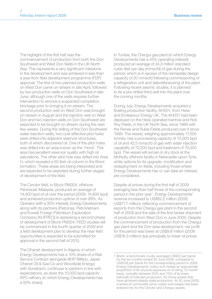The highlight of the first half was the commencement of production from both the Don Southwest and West Don fields in the UK North Sea. This represents a very significant milestone in the development and was achieved in less than a year from field development programme (FDP) approval. The first of two planned production wells on West Don came on-stream in late April, followed by two production wells on Don Southwest in late June, although one of the wells requires further intervention to remove a suspected completion blockage prior to bringing it on-stream. The second production well on West Don was brought on-stream in August and the injection well on West Don and two injection wells on Don Southwest are expected to be brought on-stream during the next few weeks. During the drilling of the Don Southwest water injection wells, two cost-effective pilot holes were drilled into adjacent reservoir structures. both of which discovered oil. One of the pilot holes was drilled into an area known as the 'Horst'. This area has excellent reservoir quality with high oil saturations. The other pilot hole was drilled into Area H, which revealed a 60 feet oil column in the Brent formation. These areas are being interpreted and are expected to be exploited during further stages of development of the field.

The Cendor field, in Block PM304, offshore Peninsular Malaysia, produced an average of 14,400 bpd of oil over the period (2008: 14,800 bpd) and achieved production uptime of over 99%. As Operator (with a 30% interest), Energy Developments, along with its partners (Petronas, PetroVietnam and Kuwait Foreign Petroleum Exploration Company (KUFPEC)) is assessing a second phase of development of Block PM304. FEED studies will be commenced in the fourth quarter of 2009 and a field development plan to develop the near field opportunities is expected to be submitted for approval in the second half of 2010.

The Ohanet development in Algeria, in which Energy Developments has a 10% share of a Risk Service Contract (alongside BHP Billiton, Japan Ohanet Oil & Gas Co and Woodside Energy) with Sonatrach, continues to perform in line with expectations, as does the 10,000 bpd capacity KPC refinery (in which Energy Developments has a 50% share).

In Tunisia, the Chergui gas plant (in which Energy Developments has a 45% operating interest) produced an average of 24.3 million standard cubic feet per day (mmscfd) of gas during the period, which is in excess of the nameplate design capacity of 20 mmscfd following commissioning of a refrigeration unit and debottlenecking of the plant. Following recent seismic studies, it is planned to tie a pre-drilled third well into the plant over the coming months.

During July, Energy Developments acquired a floating production facility, AH001, from Hess and Endeavour Energy UK. The AH001 had been deployed on the Hess operated Ivanhoe and Rob Roy Fields, in the UK North Sea, since 1989 with the Renee and Rubie Fields produced over it since 1999. The vessel, weighing approximately 17,000 tonnes, has a processing capacity of 70,000 bpd of oil and 42.5 mmscfd of gas with water injection capability of 72,000 bpd and treatment of 75,000 bpd. The vessel will remain in dry dock at the McNulty offshore facility in Newcastle-upon-Tyne, while options for its upgrade, modification and redeployment on fields, including those where Energy Developments has or can take an interest, are considered.

Despite oil prices during the first half of 2009 averaging less than half those of the corresponding period in the prior year<sup>1</sup>, Energy Developments' revenue increased to US\$82.2 million (2008: US\$77.7 million), reflecting commencement of exports from the Chergui gas plant in the second half of 2008 and the sale of the first tanker shipment of production from West Don in June 2009. Despite the commencement of production from the Chergui gas plant and the Don area development, net profit for the period was lower at US\$9.8 million (2008: US\$16.3 million) due principally to lower oil prices.

<sup>1</sup> Brent, a benchmark crude, averaged US\$52 per barrel for the six months ended 30 June 2009, compared to US\$109 per barrel for the corresponding period in 2008. Energy Developments' policy is to hedge an appropriate proportion of its oil price exposure on a rolling 12-month basis, typically between 50% and 75% of its lower estimate of forecast production, for those assets that have achieved steady-state production. At 30 June 2009, a series of commodity price collars and swaps had been entered into for the Cendor and Chergui assets.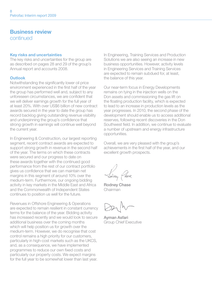### Business review

continued

### Key risks and uncertainties

The key risks and uncertainties for the group are as described on pages 28 and 29 of the group's Annual report and accounts 2008.

### **Outlook**

Notwithstanding the significantly lower oil price environment experienced in the first half of the year the group has performed well and, subject to any unforeseen circumstances, we are confident that we will deliver earnings growth for the full year of at least 20%. With over US\$6 billion of new contract awards secured in the year to date the group has record backlog giving outstanding revenue visibility and underpinning the group's confidence that strong growth in earnings will continue well beyond the current year.

In Engineering & Construction, our largest reporting segment, recent contract awards are expected to support strong growth in revenue in the second half of the year. The terms on which these contracts were secured and our progress to date on these awards together with the continued good performance from the rest of our contract portfolio gives us confidence that we can maintain net margins in this segment of around 10% over the medium-term. Furthermore, our ongoing bidding activity in key markets in the Middle East and Africa and the Commonwealth of Independent States continues to position us well for the future.

Revenues in Offshore Engineering & Operations are expected to remain resilient in constant currency terms for the balance of the year. Bidding activity has increased recently and we would look to secure additional business over the coming months which will help position us for growth over the medium-term. However, we do recognise that cost control remains a high priority for our customers. particularly in high-cost markets such as the UKCS, and, as a consequence, we have implemented programmes to reduce our own fixed costs and particularly our property costs. We expect margins for the full year to be somewhat lower than last year.

In Engineering, Training Services and Production Solutions we are also seeing an increase in new business opportunities. However, activity levels in Engineering Services and Training Services are expected to remain subdued for, at least, the balance of this year.

Our near-term focus in Energy Developments remains on tying in the injection wells on the Don assets and commissioning the gas lift on the floating production facility, which is expected to lead to an increase in production levels as the year progresses. In 2010, the second phase of the development should enable us to access additional reserves, following recent discoveries in the Don Southwest field. In addition, we continue to evaluate a number of upstream and energy infrastructure opportunities.

Overall, we are very pleased with the group's achievements in the first half of the year, and our excellent growth prospects.

Rodney Chase Chairman

Ayman Asfari Group Chief Executive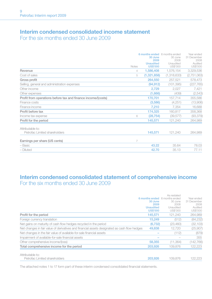### Interim condensed consolidated income statement For the six months ended 30 June 2009

|                                                              |              | 6 months ended 6 months ended<br>30 June<br>2009 | 30 June<br>2008       | Year ended<br>31 December<br>2008 |
|--------------------------------------------------------------|--------------|--------------------------------------------------|-----------------------|-----------------------------------|
|                                                              | <b>Notes</b> | <b>Unaudited</b><br><b>US\$'000</b>              | Unaudited<br>US\$'000 | Audited<br>US\$'000               |
| Revenue                                                      | 4            | 1,586,408                                        | 1,576,154             | 3,329,536                         |
| Cost of sales                                                | 5            | (1,321,858)                                      | (1,318,633)           | (2,751,063)                       |
| Gross profit                                                 |              | 264,550                                          | 257,521               | 578,473                           |
| Selling, general and administration expenses                 |              | (94, 912)                                        | (101, 395)            | (227, 765)                        |
| Other income                                                 |              | 2,729                                            | 2,027                 | 7,421                             |
| Other expenses                                               |              | (1,666)                                          | (439)                 | (2,543)                           |
| Profit from operations before tax and finance income/(costs) |              | 170,701                                          | 157,714               | 355,586                           |
| Finance costs                                                |              | (3,586)                                          | (4, 251)              | (13,906)                          |
| Finance income                                               |              | 7,210                                            | 7,354                 | 16,688                            |
| Profit before tax                                            |              | 174,325                                          | 160,817               | 358,368                           |
| Income tax expense                                           | 6            | (28, 754)                                        | (39, 577)             | (93, 379)                         |
| Profit for the period                                        |              | 145,571                                          | 121,240               | 264,989                           |
| Attributable to:                                             |              |                                                  |                       |                                   |
| Petrofac Limited shareholders                                |              | 145,571                                          | 121,240               | 264,989                           |
| Earnings per share (US cents)                                | 7            |                                                  |                       |                                   |
| – Basic                                                      |              | 43.22                                            | 35.64                 | 78.03                             |
| - Diluted                                                    |              | 42.70                                            | 35.13                 | 77.11                             |

### Interim condensed consolidated statement of comprehensive income For the six months ended 30 June 2009

|                                                                                              | 30 June<br>2009<br><b>Unaudited</b><br><b>US\$'000</b> | As restated<br>6 months ended 6 months ended<br>30 June<br>2008<br>Unaudited<br>US\$'000 | Year ended<br>31 December<br>2008<br>Audited<br>US\$'000 |
|----------------------------------------------------------------------------------------------|--------------------------------------------------------|------------------------------------------------------------------------------------------|----------------------------------------------------------|
| Profit for the period                                                                        | 145,571                                                | 121.240                                                                                  | 264,989                                                  |
| Foreign currency translation                                                                 | 15.249                                                 | (512)                                                                                    | (84, 232)                                                |
| Net gains on maturity of cash flow hedges recycled in the period                             | (6, 732)                                               | (23, 460)                                                                                | (32, 103)                                                |
| Net changes in fair value of derivatives and financial assets designated as cash flow hedges | 49,838                                                 | 12.720                                                                                   | (25,907)                                                 |
| Net changes in the fair value of available-for-sale financial assets                         |                                                        | (112)                                                                                    | (879)                                                    |
| Impairment of available-for-sale financial assets                                            |                                                        |                                                                                          | 355                                                      |
| Other comprehensive income/(loss)                                                            | 58,355                                                 | (11, 364)                                                                                | (142, 766)                                               |
| Total comprehensive income for the period                                                    | 203,926                                                | 109.876                                                                                  | 122,223                                                  |
| Attributable to:<br>Petrofac Limited shareholders                                            | 203.926                                                | 109.876                                                                                  | 122.223                                                  |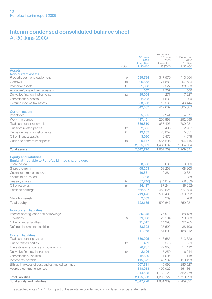### Interim condensed consolidated balance sheet At 30 June 2009

|                                                                                                               | Notes   | 30 June<br>2009<br><b>Unaudited</b><br><b>US\$'000</b> | As restated<br>30 June<br>2008<br>Unaudited<br>US\$'000 | 31 December<br>2008<br>Audited<br>US\$'000 |
|---------------------------------------------------------------------------------------------------------------|---------|--------------------------------------------------------|---------------------------------------------------------|--------------------------------------------|
| <b>Assets</b>                                                                                                 |         |                                                        |                                                         |                                            |
| <b>Non-current assets</b>                                                                                     |         |                                                        |                                                         |                                            |
| Property, plant and equipment                                                                                 | $\circ$ | 599,724                                                | 317,570                                                 | 413,064                                    |
| Goodwill                                                                                                      | 10      | 96,668                                                 | 71,882                                                  | 97,534                                     |
| Intangible assets                                                                                             | 11      | 61,068                                                 | 9,527                                                   | 38,353                                     |
| Available-for-sale financial assets                                                                           |         | 537                                                    | 1.337                                                   | 566                                        |
| Derivative financial instruments                                                                              | 12      | 29,064                                                 | 277                                                     | 7,227                                      |
| Other financial assets                                                                                        |         | 2.223                                                  | 1.531                                                   | 1.899                                      |
| Deferred income tax assets                                                                                    |         | 53,353                                                 | 15,563                                                  | 46,444                                     |
|                                                                                                               |         | 842,637                                                | 417,687                                                 | 605,087                                    |
| <b>Current assets</b>                                                                                         |         |                                                        |                                                         |                                            |
| Inventories                                                                                                   |         | 5,665                                                  | 2,244                                                   | 4.077                                      |
| Work in progress                                                                                              |         | 437,461                                                | 206,893                                                 | 252,695                                    |
| Trade and other receivables<br>Due from related parties                                                       |         | 636,810<br>2,805                                       | 657,407<br>3,408                                        | 700,931<br>2,907                           |
| Derivative financial instruments                                                                              | 17      |                                                        | 26.052                                                  |                                            |
| Other financial assets                                                                                        | 12      | 19,153                                                 | 2,472                                                   | 5,631<br>4,078                             |
| Cash and short-term deposits                                                                                  | 13      | 3,020<br>900,177                                       | 565,206                                                 | 694,415                                    |
|                                                                                                               |         | 2,005,091                                              | 1,463,682                                               | 1,664,734                                  |
| <b>Total assets</b>                                                                                           |         | 2,847,728                                              | 1,881,369                                               | 2,269,821                                  |
|                                                                                                               |         |                                                        |                                                         |                                            |
| <b>Equity and liabilities</b><br><b>Equity attributable to Petrofac Limited shareholders</b><br>Share capital |         | 8,636                                                  | 8,636                                                   | 8,636                                      |
| Share premium                                                                                                 |         | 68.203                                                 | 68.203                                                  | 68,203                                     |
| Capital redemption reserve                                                                                    |         | 10,881                                                 | 10,881                                                  | 10,881                                     |
| Shares to be issued                                                                                           |         | 1.988                                                  |                                                         | 1.988                                      |
| Treasury shares                                                                                               | 14      | (57, 246)                                              | (44, 049)                                               | (69, 333)                                  |
| Other reserves                                                                                                | 15      | 24,417                                                 | 87,241                                                  | (39, 292)                                  |
| Retained earnings                                                                                             |         | 662,597                                                | 459,526                                                 | 577,739                                    |
|                                                                                                               |         | 719,476                                                | 590,438                                                 | 558,822                                    |
| Minority interests                                                                                            |         | 2,659                                                  | 209                                                     | 209                                        |
| <b>Total equity</b>                                                                                           |         | 722.135                                                | 590.647                                                 | 559.031                                    |
|                                                                                                               |         |                                                        |                                                         |                                            |
| <b>Non-current liabilities</b>                                                                                |         |                                                        |                                                         |                                            |
| Interest-bearing loans and borrowings                                                                         |         | 86,345                                                 | 76,513                                                  | 88,188                                     |
| Provisions                                                                                                    | 9       | 79,998                                                 | 23.104                                                  | 29,663                                     |
| Other financial liabilities                                                                                   |         | 11,317                                                 | 14,395                                                  | 32,265                                     |
| Deferred income tax liabilities                                                                               |         | 33,398                                                 | 37,590                                                  | 38.196                                     |
|                                                                                                               |         | 211,058                                                | 151,602                                                 | 188,312                                    |
| <b>Current liabilities</b>                                                                                    |         |                                                        |                                                         |                                            |
| Trade and other payables                                                                                      |         | 530,995                                                | 413,585                                                 | 513,329                                    |
| Due to related parties                                                                                        | 17      | 459                                                    | 578                                                     | 559                                        |
| Interest-bearing loans and borrowings                                                                         |         | 26.265                                                 | 27.956                                                  | 54.412                                     |
| Derivative financial instruments                                                                              | 12      | 2,126                                                  | 7,250                                                   | 6,244                                      |
| Other financial liabilities                                                                                   |         | 12,689                                                 | 1,005                                                   | 118                                        |
| Income tax payable                                                                                            |         | 115,372                                                | 43,232                                                  | 110,428                                    |
| Billings in excess of cost and estimated earnings                                                             |         | 607,711                                                | 145,592                                                 | 285,527                                    |
| Accrued contract expenses                                                                                     |         | 618,918                                                | 499,922                                                 | 551,861                                    |
|                                                                                                               |         | 1,914,535                                              | 1,139,120                                               | 1,522,478                                  |
| <b>Total liabilities</b>                                                                                      |         | 2,125,593                                              | 1,290,722                                               | 1,710,790                                  |
| <b>Total equity and liabilities</b>                                                                           |         | 2.847.728                                              | 1.881.369                                               | 2.269.821                                  |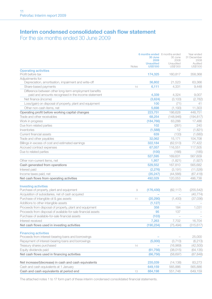### Interim condensed consolidated cash flow statement For the six months ended 30 June 2009

|                                                                                                               |         | 30 June<br>2009<br><b>Unaudited</b> | 6 months ended 6 months ended<br>30 June<br>2008<br>Unaudited | Year ended<br>31 December<br>2008<br>Audited |
|---------------------------------------------------------------------------------------------------------------|---------|-------------------------------------|---------------------------------------------------------------|----------------------------------------------|
|                                                                                                               | Notes   | <b>US\$'000</b>                     | US\$'000                                                      | US\$'000                                     |
| <b>Operating activities</b><br>Profit before tax                                                              |         | 174,325                             | 160.817                                                       | 358,368                                      |
| Adjustments for:                                                                                              |         |                                     |                                                               |                                              |
| Depreciation, amortisation, impairment and write-off                                                          |         | 36,802                              | 21.523                                                        | 63.366                                       |
| Share-based payments                                                                                          | 14      | 6,111                               | 4,331                                                         | 9.448                                        |
| Difference between other long-term employment benefits<br>paid and amounts recognised in the income statement |         | 4,339                               | 4,324                                                         | 9,007                                        |
| Net finance (income)                                                                                          |         | (3,624)                             | (3, 103)                                                      | (2,782)                                      |
| Loss/(gain) on disposal of property, plant and equipment                                                      |         | 100                                 | (71)                                                          | 41                                           |
| Other non-cash items, net                                                                                     |         | 5,698                               | (1, 193)                                                      | 11,303                                       |
| Operating profit before working capital changes                                                               |         | 223.751                             | 186,628                                                       | 448,751                                      |
| Trade and other receivables                                                                                   |         | 68,254                              | (148,946)                                                     | (194, 817)                                   |
| Work in progress                                                                                              |         | (184, 766)                          | 63,288                                                        | 17,486                                       |
| Due from related parties                                                                                      |         | 102                                 | (261)                                                         | 240                                          |
| Inventories                                                                                                   |         | (1,588)                             | 12                                                            | (1,821)                                      |
| Current financial assets                                                                                      |         | 639                                 | (133)                                                         | (1,680)                                      |
| Trade and other payables                                                                                      |         | 32,062                              | 15,171                                                        | 104,708                                      |
| Billings in excess of cost and estimated earnings                                                             |         | 322.184                             | (62, 513)                                                     | 77,422                                       |
| Accrued contract expenses                                                                                     |         | 67,057                              | 116.551                                                       | 117,505                                      |
| Due to related parties                                                                                        |         | (100)                               | (166)                                                         | (185)                                        |
|                                                                                                               |         | 527,595                             | 169,631                                                       | 567,609                                      |
| Other non-current items, net                                                                                  |         | 1,957                               | (1,821)                                                       | (1, 927)                                     |
| Cash generated from operations                                                                                |         | 529,552                             | 167,810                                                       | 565.682                                      |
| Interest paid                                                                                                 |         | (2, 276)                            | (3, 191)                                                      | (11,526)                                     |
| Income taxes paid, net                                                                                        |         | (35, 247)                           | (44, 566)                                                     | (67, 418)                                    |
| Net cash flows from operating activities                                                                      |         | 492,029                             | 120,053                                                       | 486,738                                      |
|                                                                                                               |         |                                     |                                                               |                                              |
| <b>Investing activities</b><br>Purchase of property, plant and equipment                                      | $\circ$ | (176, 430)                          | (82, 117)                                                     | (255, 542)                                   |
| Acquisition of subsidiaries, net of cash acquired                                                             |         |                                     |                                                               | (40, 774)                                    |
| Purchase of intangible oil & gas assets                                                                       | 11      | (20, 290)                           | (1,400)                                                       | (37,036)                                     |
| Additions to other intangible assets                                                                          |         | (1, 127)                            |                                                               |                                              |
| Proceeds from disposal of property, plant and equipment                                                       |         | 358                                 | 184                                                           | 1.031                                        |
| Proceeds from disposal of available-for-sale financial assets                                                 |         | 95                                  | 137                                                           |                                              |
| Purchase of available-for-sale financial assets                                                               |         | (103)                               |                                                               |                                              |
| Interest received                                                                                             |         | 7,263                               | 7,702                                                         | 16,704                                       |
| Net cash flows used in investing activities                                                                   |         | (190, 234)                          | (75.494)                                                      | (315, 617)                                   |
| <b>Financing activities</b>                                                                                   |         |                                     |                                                               |                                              |
| Proceeds from interest-bearing loans and borrowings                                                           |         |                                     |                                                               | 25,000                                       |
| Repayment of interest-bearing loans and borrowings                                                            |         | (5,000)                             | (3,713)                                                       | (6,213)                                      |
| Treasury shares purchased                                                                                     | 14      |                                     | (16,969)                                                      | (42,500)                                     |
| Equity dividends paid                                                                                         |         | (61, 756)                           | (38,015)                                                      | (64, 135)                                    |
| Net cash flows used in financing activities                                                                   |         | (66, 756)                           | (58, 697)                                                     | (87, 848)                                    |
|                                                                                                               |         |                                     |                                                               |                                              |
| Net increase/(decrease) in cash and cash equivalents                                                          |         | 235,039                             | (14, 138)                                                     | 83,273                                       |
| Cash and cash equivalents at 1 January                                                                        |         | 649,159                             | 565,886                                                       | 565,886                                      |
| Cash and cash equivalents at period end                                                                       | 13      | 884,198                             | 551,748                                                       | 649,159                                      |
|                                                                                                               |         |                                     |                                                               |                                              |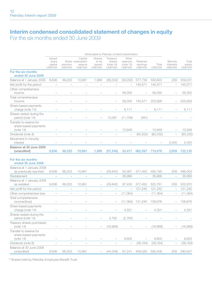### Interim condensed consolidated statement of changes in equity For the six months ended 30 June 2009

|                                                              |                                        |                          |                                                    | Attributable to Petrofac Limited shareholders |                                              |                                            |                                  |                   |                                   |                             |
|--------------------------------------------------------------|----------------------------------------|--------------------------|----------------------------------------------------|-----------------------------------------------|----------------------------------------------|--------------------------------------------|----------------------------------|-------------------|-----------------------------------|-----------------------------|
|                                                              | Issued<br>share<br>capital<br>US\$'000 | premium<br>US\$'000      | Capital<br>Share redemption<br>reserve<br>US\$'000 | Shares<br>to be<br>issued<br>US\$'000         | *Treasury<br>shares<br>(note 14)<br>US\$'000 | Other<br>reserves<br>(note 15)<br>US\$'000 | Retained<br>earnings<br>US\$'000 | Total<br>US\$'000 | Minority<br>interests<br>US\$'000 | Total<br>equity<br>US\$'000 |
| For the six months<br>ended 30 June 2009                     |                                        |                          |                                                    |                                               |                                              |                                            |                                  |                   |                                   |                             |
| Balance at 1 January 2009                                    | 8.636                                  | 68.203                   | 10,881                                             | 1.988                                         | (69, 333)                                    | (39, 292)                                  | 577,739                          | 558.822           | 209                               | 559.031                     |
| Net profit for the period                                    |                                        |                          |                                                    |                                               |                                              |                                            | 145,571                          | 145,571           |                                   | 145,571                     |
| Other comprehensive<br>income                                |                                        |                          |                                                    |                                               |                                              | 58.355                                     |                                  | 58,355            |                                   | 58,355                      |
| Total comprehensive<br>income                                |                                        |                          |                                                    |                                               |                                              | 58,355                                     | 145,571                          | 203,926           |                                   | 203.926                     |
| Share-based payments<br>charge (note 14)                     |                                        |                          |                                                    |                                               |                                              | 6,111                                      |                                  | 6,111             |                                   | 6,111                       |
| Shares vested during the<br>period (note 14)                 |                                        |                          |                                                    |                                               | 12,087                                       | (11,706)                                   | (381)                            |                   |                                   |                             |
| Transfer to reserve for<br>share-based payments<br>(note 14) |                                        |                          |                                                    |                                               |                                              | 10.949                                     |                                  | 10,949            | $\overline{\phantom{a}}$          | 10,949                      |
| Dividends (note 8)                                           |                                        |                          |                                                    |                                               |                                              |                                            | (60, 332)                        | (60, 332)         |                                   | (60, 332)                   |
| Movement in minority<br>interest                             |                                        |                          |                                                    |                                               |                                              |                                            |                                  |                   | 2,450                             | 2,450                       |
| Balance at 30 June 2009<br>(unaudited)                       | 8,636                                  | 68,203                   | 10,881                                             | 1,988                                         | (57, 246)                                    | 24,417                                     | 662,597                          | 719,476           | 2,659                             | 722,135                     |
| For the six months<br>ended 30 June 2008                     |                                        |                          |                                                    |                                               |                                              |                                            |                                  |                   |                                   |                             |
| Balance at 1 January 2008<br>as previously reported          | 8,636                                  | 68,203                   | 10,881                                             |                                               | (29, 842)                                    | 50,467                                     | 377,450                          | 485,795           | 209                               | 486,004                     |
| Restatement                                                  |                                        |                          |                                                    |                                               | $\overline{\phantom{0}}$                     | 36,966                                     |                                  | 36,966            |                                   | 36,966                      |
| Balance at 1 January 2008<br>as restated                     | 8,636                                  | 68,203                   | 10,881                                             |                                               | (29, 842)                                    | 87,433                                     | 377,450                          | 522,761           | 209                               | 522,970                     |
| Net profit for the period                                    | $\overline{\phantom{a}}$               | $\overline{\phantom{0}}$ | $\overline{a}$                                     | $\overline{\phantom{0}}$                      | $\overline{\phantom{0}}$                     | $\overline{\phantom{a}}$                   | 121,240                          | 121,240           | $\overline{\phantom{a}}$          | 121,240                     |
| Other comprehensive loss                                     |                                        |                          |                                                    |                                               |                                              | (11, 364)                                  |                                  | (11, 364)         |                                   | (11, 364)                   |
| Total comprehensive<br>income/(loss)                         |                                        |                          |                                                    |                                               |                                              | (11, 364)                                  | 121,240                          | 109,876           |                                   | 109,876                     |
| Share-based payments<br>charge (note 14)                     |                                        |                          |                                                    |                                               |                                              | 4,331                                      |                                  | 4,331             |                                   | 4,331                       |
| Shares vested during the<br>period (note 14)                 |                                        |                          |                                                    |                                               | 2,762                                        | (2,762)                                    |                                  |                   |                                   |                             |
| Treasury shares purchased<br>(note 14)                       |                                        |                          |                                                    |                                               | (16.969)                                     |                                            |                                  | (16.969)          |                                   | (16.969)                    |
| Transfer to reserve for<br>share-based payments<br>(note 14) |                                        |                          |                                                    |                                               |                                              | 9,603                                      |                                  | 9,603             |                                   | 9,603                       |
| Dividends (note 8)                                           |                                        |                          |                                                    |                                               |                                              |                                            | (39, 164)                        | (39, 164)         |                                   | (39, 164)                   |
| Balance at 30 June 2008<br>(unaudited)                       | 8,636                                  | 68,203                   | 10,881                                             |                                               | (44, 049)                                    | 87,241                                     | 459,526                          | 590,438           | 209                               | 590,647                     |
|                                                              |                                        |                          |                                                    |                                               |                                              |                                            |                                  |                   |                                   |                             |

\* Shares held by Petrofac Employee Benefit Trust.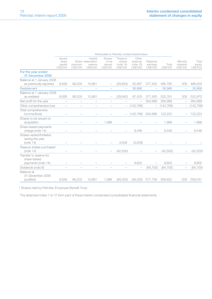|                                                              |                                        |                     |                                                    |                                       |                                              | Attributable to Petrofac Limited shareholders |                                         |                   |                                   |                             |
|--------------------------------------------------------------|----------------------------------------|---------------------|----------------------------------------------------|---------------------------------------|----------------------------------------------|-----------------------------------------------|-----------------------------------------|-------------------|-----------------------------------|-----------------------------|
|                                                              | Issued<br>share<br>capital<br>US\$'000 | premium<br>US\$'000 | Capital<br>Share redemption<br>reserve<br>US\$'000 | Shares<br>to be<br>issued<br>US\$'000 | *Treasurv<br>shares<br>(note 14)<br>US\$'000 | Other<br>reserves<br>(note 15)<br>US\$'000    | Retained<br>earnings<br><b>US\$'000</b> | Total<br>US\$'000 | Minority<br>interests<br>US\$'000 | Total<br>equity<br>US\$'000 |
| For the year ended<br>31 December 2008                       |                                        |                     |                                                    |                                       |                                              |                                               |                                         |                   |                                   |                             |
| Balance at 1 January 2008<br>as previously reported          | 8.636                                  | 68.203              | 10.881                                             |                                       | (29.842)                                     | 50.467                                        | 377,450                                 | 485.795           | 209                               | 486,004                     |
| Restatement                                                  |                                        |                     |                                                    |                                       |                                              | 36.966                                        |                                         | 36.966            |                                   | 36,966                      |
| Balance at 1 January 2008<br>as restated                     | 8,636                                  | 68,203              | 10,881                                             |                                       | (29, 842)                                    | 87,433                                        | 377,450                                 | 522,761           | 209                               | 522,970                     |
| Net profit for the year                                      | $\overline{\phantom{0}}$               |                     |                                                    |                                       |                                              |                                               | 264,989                                 | 264,989           |                                   | 264,989                     |
| Other comprehensive loss                                     | $\qquad \qquad -$                      |                     | $\qquad \qquad -$                                  |                                       |                                              | (142, 766)                                    |                                         | (142, 766)        |                                   | (142, 766)                  |
| Total comprehensive<br>income/(loss)                         |                                        |                     |                                                    |                                       |                                              | (142, 766)                                    | 264,989                                 | 122,223           |                                   | 122,223                     |
| Shares to be issued on<br>acquisition                        |                                        |                     |                                                    | 1.988                                 |                                              |                                               |                                         | 1,988             |                                   | 1,988                       |
| Share-based payments<br>charge (note 14)                     |                                        |                     |                                                    |                                       |                                              | 9.448                                         |                                         | 9.448             |                                   | 9.448                       |
| Shares vested/forfeited<br>during the year<br>(note 14)      |                                        |                     |                                                    |                                       | 3.009                                        | (3.009)                                       |                                         |                   |                                   |                             |
| Treasury shares purchased<br>(note 14)                       |                                        |                     |                                                    |                                       | (42,500)                                     |                                               |                                         | (42,500)          |                                   | (42.500)                    |
| Transfer to reserve for<br>share-based<br>payments (note 14) |                                        |                     |                                                    |                                       |                                              | 9,602                                         |                                         | 9,602             |                                   | 9,602                       |
| Dividends (note 8)                                           |                                        |                     |                                                    |                                       |                                              |                                               | (64, 700)                               | (64, 700)         | $\qquad \qquad -$                 | (64, 700)                   |
| Balance at<br>31 December 2008<br>(audited)                  | 8,636                                  | 68,203              | 10.881                                             | 1,988                                 | (69.333)                                     | (39.292)                                      | 577.739                                 | 558.822           | 209                               | 559,031                     |

\* Shares held by Petrofac Employee Benefit Trust.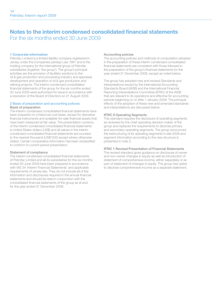### Notes to the interim condensed consolidated financial statements For the six months ended 30 June 2009

### 1 Corporate information

Petrofac Limited is a limited liability company registered in Jersey under the Companies (Jersey) Law 1991 and is the holding company for the international group of Petrofac subsidiaries (together 'the group'). The group's principal activities are the provision of facilities solutions to the oil & gas production and processing industry and appraisal, development and operation of oil & gas production and refining projects. The interim condensed consolidated financial statements of the group for the six months ended 30 June 2009 were authorised for issue in accordance with a resolution of the Board of Directors on 21 August 2009.

#### 2 Basis of preparation and accounting policies Basis of preparation

The interim condensed consolidated financial statements have been prepared on a historical cost basis, except for derivative financial instruments and available-for-sale financial assets that have been measured at fair value. The presentation currency of the interim condensed consolidated financial statements is United States dollars (US\$) and all values in the interim condensed consolidated financial statements are rounded to the nearest thousand (US\$'000) except where otherwise stated. Certain comparative information has been reclassified to conform to current period presentation.

### Statement of compliance

The interim condensed consolidated financial statements of Petrofac Limited and all its subsidiaries for the six months ended 30 June 2009 have been prepared in accordance with IAS 34 'Interim Financial Statements' and applicable requirements of Jersey law. They do not include all of the information and disclosures required in the annual financial statements and should be read in conjunction with the consolidated financial statements of the group as at and for the year ended 31 December 2008.

#### Accounting policies

The accounting policies and methods of computation adopted in the preparation of these interim condensed consolidated financial statements are consistent with those followed in the preparation of the group's financial statements for the year ended 31 December 2008, except as noted below.

The group has adopted new and revised Standards and Interpretations issued by the International Accounting Standards Board (IASB) and the International Financial Reporting Interpretations Committee (IFRIC) of the IASB that are relevant to its operations and effective for accounting periods beginning on or after 1 January 2009. The principal effects of the adoption of these new and amended standards and interpretations are discussed below:

#### IFRIC 8 Operating Segments

This standard requires the disclosure of operating segments as reviewed by the chief operating decision maker of the group and replaces the requirements to disclose primary and secondary operating segments. The group announced the restructuring of its operating segments in late 2008 and segment information according to the new structure is presented in note 3.

### IFRIC 1 Revised Presentation of Financial Statements

The revised standard gives guidance on disclosure of owner and non-owner changes in equity as well as introduction of statement of comprehensive income, either separately or as part of statement of changes in equity. The group has opted to disclose comprehensive income as a separate statement.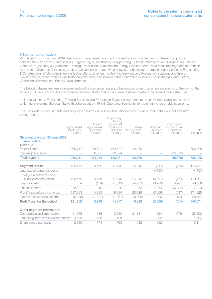#### 3 Segment information

With effect from 1 January 2009, the group's management was restructured on a worldwide basis to deliver the group's services through seven business units, Engineering & Construction, Engineering & Construction Ventures, Engineering Services, Offshore Engineering & Operations, Training, Production Solutions and Energy Developments. As a result the segment information has been realigned to fit the new group organisational structure which now comprises four operating segments being Engineering & Construction, Offshore Engineering & Operations, Engineering, Training Services and Production Solutions and Energy Developments, rather than as was historically the case, split between three operating divisions Engineering & Construction, Operations Services and Energy Developments.

The following tables represent revenue and profit information relating to the group's primary business segments for the six months ended 30 June 2009 and the comparative segmental information has been restated to reflect the revised group structure.

Included within the Engineering, Training Services and Production Solutions segment are three diverse businesses none of which have ever met the quantitative thresholds set by IFRS 8 'Operating Segments' for determining reportable segments.

The consolidation adjustments and corporate columns include certain balances which due to their nature are not allocated to segments.

|                                                            | Engineering &<br>Construction<br><b>US\$'000</b> | Offshore<br>Engineering &<br>Operations<br>US\$'000 | Engineering,<br>Training<br>Services &<br>Production<br>Solutions<br><b>US\$'000</b> | Enerav<br>Developments<br>US\$'000 | Corporate<br>& others<br>US\$'000 | Consolidation<br>adiustments &<br>eliminations<br>US\$'000 | Total<br>US\$'000 |
|------------------------------------------------------------|--------------------------------------------------|-----------------------------------------------------|--------------------------------------------------------------------------------------|------------------------------------|-----------------------------------|------------------------------------------------------------|-------------------|
| Six months ended 30 June 2009<br>(unaudited)               |                                                  |                                                     |                                                                                      |                                    |                                   |                                                            |                   |
| Revenue                                                    |                                                  |                                                     |                                                                                      |                                    |                                   |                                                            |                   |
| <b>External sales</b>                                      | 1,060,711                                        | 288.891                                             | 154,627                                                                              | 82,179                             |                                   |                                                            | 1,586,408         |
| Inter-segment sales                                        |                                                  | 6.055                                               | 29.324                                                                               |                                    |                                   | (35, 379)                                                  |                   |
| Total revenue                                              | 1,060,711                                        | 294,946                                             | 183,951                                                                              | 82,179                             |                                   | (35, 379)                                                  | 1,586,408         |
| Seament results                                            | 129,472                                          | 4.479                                               | 17,440                                                                               | 24,845                             | (611)                             | (174)                                                      | 175,451           |
| Unallocated corporate costs                                |                                                  |                                                     |                                                                                      |                                    | (4,750)                           |                                                            | (4, 750)          |
| Profit/(loss) before tax and<br>finance income/(costs)     | 129.472                                          | 4.479                                               | 17.440                                                                               | 24.845                             | (5,361)                           | (174)                                                      | 170,701           |
| Finance costs                                              |                                                  | (154)                                               | (1, 342)                                                                             | (4,782)                            | (3,269)                           | 5,961                                                      | (3,586)           |
| Finance income                                             | 8.521                                            | 10                                                  | 86                                                                                   | 63                                 | 4,964                             | (6,434)                                                    | 7,210             |
| Profit/(loss) before income tax                            | 137,993                                          | 4,335                                               | 16,184                                                                               | 20,126                             | (3,666)                           | (647)                                                      | 174,325           |
| Income tax (expense)/income                                | (16, 835)                                        | (1, 387)                                            | (1, 367)                                                                             | (10, 298)                          | 1,000                             | 133                                                        | (28, 754)         |
| Profit/(loss) for the period                               | 121,158                                          | 2,948                                               | 14,817                                                                               | 9,828                              | (2,666)                           | (514)                                                      | 145,571           |
| Other segment information<br>Depreciation and amortisation | 11,058                                           | 335                                                 | 3,680                                                                                | 21.881                             | 124                               | (276)                                                      | 36,802            |
| Other long-term employment benefits                        | 4,509                                            | 788                                                 | 198                                                                                  | 27                                 | 32                                |                                                            | 5,554             |
| Share-based payments                                       | 2,880                                            | 774                                                 | 763                                                                                  | 642                                | 1.052                             |                                                            | 6,111             |
|                                                            |                                                  |                                                     |                                                                                      |                                    |                                   |                                                            |                   |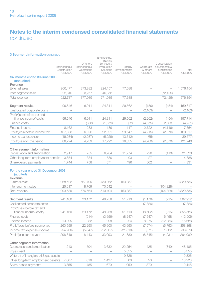### Notes to the interim condensed consolidated financial statements continued

### 3 Segment information continued

| 0 0091110116 111101 111061011 001 161 1000                 |                                           |                                                     | Engineering,                                                  |                                    |                                   |                                                            |                    |
|------------------------------------------------------------|-------------------------------------------|-----------------------------------------------------|---------------------------------------------------------------|------------------------------------|-----------------------------------|------------------------------------------------------------|--------------------|
|                                                            | Engineering &<br>Construction<br>US\$'000 | Offshore<br>Engineering &<br>Operations<br>US\$'000 | Training<br>Services &<br>Production<br>Solutions<br>US\$'000 | Energy<br>Developments<br>US\$'000 | Corporate<br>& others<br>US\$'000 | Consolidation<br>adjustments &<br>eliminations<br>US\$'000 | Total<br>US\$'000  |
| Six months ended 30 June 2008                              |                                           |                                                     |                                                               |                                    |                                   |                                                            |                    |
| (unaudited)                                                |                                           |                                                     |                                                               |                                    |                                   |                                                            |                    |
| Revenue                                                    | 900,477                                   |                                                     |                                                               |                                    |                                   |                                                            |                    |
| <b>External sales</b><br>Inter-segment sales               | 22,310                                    | 373,832<br>3,257                                    | 224,157<br>46,858                                             | 77,688                             |                                   | (72, 425)                                                  | 1,576,154          |
| Total revenue                                              | 922,787                                   | 377,089                                             | 271,015                                                       | 77,688                             |                                   | (72, 425)                                                  | 1,576,154          |
|                                                            |                                           |                                                     |                                                               |                                    |                                   |                                                            |                    |
| Segment results                                            | 99,646                                    | 6,911                                               | 24,311                                                        | 29,562                             | (159)                             | (454)                                                      | 159,817            |
| Unallocated corporate costs                                |                                           | $\overline{\phantom{a}}$                            | ÷                                                             |                                    | (2, 103)                          |                                                            | (2, 103)           |
| Profit/(loss) before tax and                               |                                           |                                                     |                                                               |                                    |                                   |                                                            |                    |
| finance income/(costs)                                     | 99.646                                    | 6.911                                               | 24,311                                                        | 29.562                             | (2, 262)                          | (454)                                                      | 157,714            |
| Finance costs                                              | $\overline{\phantom{a}}$                  | (368)                                               | (1,679)                                                       | (32)                               | (4, 675)                          | 2,503                                                      | (4, 251)           |
| Finance income                                             | 8,162                                     | 283                                                 | 189                                                           | 117                                | 2,722                             | (4, 119)                                                   | 7,354              |
| Profit/(loss) before income tax                            | 107,808                                   | 6,826                                               | 22,821                                                        | 29,647                             | (4, 215)                          | (2,070)                                                    | 160,817            |
| Income tax (expense)                                       | (19,084)                                  | (2,087)                                             | (5,029)                                                       | (13, 312)                          | (65)                              |                                                            | (39, 577)          |
| Profit/(loss) for the period                               | 88,724                                    | 4,739                                               | 17,792                                                        | 16,335                             | (4,280)                           | (2,070)                                                    | 121,240            |
| Other segment information                                  |                                           |                                                     |                                                               |                                    |                                   |                                                            |                    |
| Depreciation and amortisation                              | 2,917                                     | 755                                                 | 6,764                                                         | 11,274                             | 226                               | (413)                                                      | 21,523             |
| Other long-term employment benefits                        | 3,854                                     | 334                                                 | 580                                                           | 93                                 | 27                                | ÷                                                          | 4,888              |
| Share-based payments                                       | 1.744                                     | 758                                                 | 671                                                           | 496                                | 662                               |                                                            | 4,331              |
| For the year ended 31 December 2008<br>(audited)           |                                           |                                                     |                                                               |                                    |                                   |                                                            |                    |
| Revenue<br>External sales                                  | 1,968,522                                 | 767,795                                             | 439.862                                                       | 153,357                            |                                   |                                                            | 3,329,536          |
| Inter-segment sales                                        | 25,017                                    | 8,769                                               | 70,542                                                        | $\overline{a}$                     | $\overline{a}$                    | (104, 328)                                                 |                    |
| Total revenue                                              | 1,993,539                                 | 776,564                                             | 510,404                                                       | 153.357                            | ÷                                 | (104, 328)                                                 | 3,329,536          |
|                                                            |                                           |                                                     |                                                               |                                    |                                   |                                                            |                    |
| Segment results                                            | 241,160                                   | 23,172                                              | 48,258                                                        | 51,713                             | (1, 176)                          | (215)                                                      | 362,912            |
| Unallocated corporate costs                                | $\overline{a}$                            | $\overline{a}$                                      | $\overline{a}$                                                | $\overline{a}$                     | (7, 326)                          | $\overline{a}$                                             | (7, 326)           |
| Profit/(loss) before tax and                               |                                           |                                                     |                                                               |                                    |                                   |                                                            |                    |
| finance income/(costs)<br>Finance costs                    | 241,160<br>÷                              | 23,172                                              | 48,258<br>(3,656)                                             | 51,713<br>(8, 247)                 | (8,502)<br>(7, 547)               | (215)<br>6,458                                             | 355,586            |
| Finance income                                             | 19,395                                    | (914)<br>32                                         | 998                                                           | 224                                | 8,075                             | (12,036)                                                   | (13,906)<br>16,688 |
| Profit/(loss) before income tax                            | 260,555                                   | 22,290                                              | 45,600                                                        | 43,690                             | (7, 974)                          | (5,793)                                                    | 358,368            |
| Income tax (expense)/income                                | (54, 206)                                 | (5, 847)                                            | (12, 507)                                                     | (21, 810)                          | (571)                             | 1,562                                                      | (93, 379)          |
| Profit/(loss) for the year                                 | 206,349                                   | 16,443                                              | 33,093                                                        | 21,880                             | (8,545)                           | (4, 231)                                                   | 264,989            |
|                                                            |                                           |                                                     |                                                               |                                    |                                   |                                                            |                    |
| Other segment information<br>Depreciation and amortisation | 11,210                                    | 1,504                                               | 13,632                                                        | 22,254                             | 425                               | (840)                                                      | 48,185             |
| Impairment                                                 | $\overline{\phantom{0}}$                  | $\overline{a}$                                      | $\overline{\phantom{0}}$                                      | 5,355                              |                                   | $\overline{\phantom{0}}$                                   | 5,355              |
| Write-off of intangible oil & gas assets                   | $\overline{\phantom{a}}$                  | $\overline{\phantom{a}}$                            | $\overline{\phantom{a}}$                                      | 9,826                              | $\overline{\phantom{0}}$          | $\sim$                                                     | 9,826              |
| Other long-term employment benefits                        | 7,867                                     | 816                                                 | 1,427                                                         | 60                                 | 53                                | $\overline{a}$                                             | 10,223             |
| Share-based payments                                       | 3,855                                     | 1,485                                               | 1,679                                                         | 1,059                              | 1,370                             |                                                            | 9,448              |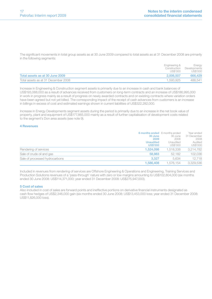The significant movements in total group assets as at 30 June 2009 compared to total assets as at 31 December 2008 are primarily in the following segments:

|                                     | Engineering &<br>Construction | Energy<br>Developments |
|-------------------------------------|-------------------------------|------------------------|
|                                     | US\$'000                      | US\$'000               |
| Total assets as at 30 June 2009     | 2.006.507                     | 666,429                |
| Total assets as at 31 December 2008 | 1.593.925                     | 488.541                |

Increase in Engineering & Construction segment assets is primarily due to an increase in cash and bank balances of US\$193,088,000 as a result of advances received from customers on long-term contracts and an increase of US\$186,995,000 in work in progress mainly as a result of progress on newly awarded contracts and on existing contracts where variation orders have been agreed but not yet billed. The corresponding impact of the receipt of cash advances from customers is an increase in billings in excess of cost and estimated earnings shown in current liabilities of US\$322,282,000.

Increase in Energy Developments segment assets during the period is primarily due to an increase in the net book value of property, plant and equipment of US\$177,865,000 mainly as a result of further capitalisation of development costs related to the segment's Don area assets (see note 9).

### 4 Revenues

|                                | 6 months ended 6 months ended<br>30 June<br>2009<br><b>Unaudited</b><br><b>US\$'000</b> | 30 June<br>2008<br>Unaudited<br>US\$'000 | Year ended<br>31 December<br>2008<br>Audited<br>US\$'000 |
|--------------------------------|-----------------------------------------------------------------------------------------|------------------------------------------|----------------------------------------------------------|
| Rendering of services          | 1.524.098                                                                               | 1.518.338                                | 3.214.782                                                |
| Sale of crude oil and gas      | 58,983                                                                                  | 52.182                                   | 102,036                                                  |
| Sale of processed hydrocarbons | 3.327                                                                                   | 5.634                                    | 12.718                                                   |
|                                | 1.586.408                                                                               | 1.576.154                                | 3.329.536                                                |

Included in revenues from rendering of services are Offshore Engineering & Operations and Engineering, Training Services and Production Solutions revenues of a 'pass-through' nature with zero or low margins amounting to US\$102,804,000 (six months ended 30 June 2008: US\$114,371,000; year ended 31 December 2008: US\$275,947,000).

#### 5 Cost of sales

Also included in cost of sales are forward points and ineffective portions on derivative financial instruments designated as cash flow hedges of US\$2,346,000 gain (six months ended 30 June 2008: US\$13,453,000 loss; year ended 31 December 2008: US\$11,826,000 loss).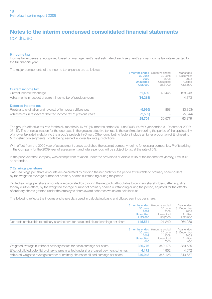### Notes to the interim condensed consolidated financial statements continued

#### 6 Income tax

Income tax expense is recognised based on management's best estimate of each segment's annual income tax rate expected for the full financial year.

The major components of the income tax expense are as follows:

|                                                                 | <b>O MONUS engeg</b> O MONUS engeg |           |             |
|-----------------------------------------------------------------|------------------------------------|-----------|-------------|
|                                                                 | 30 June                            | 30 June   | 31 December |
|                                                                 | 2009                               | 2008      | 2008        |
|                                                                 | <b>Unaudited</b>                   | Unaudited | Audited     |
|                                                                 | <b>US\$'000</b>                    | US\$'000  | US\$'000    |
| <b>Current income tax</b>                                       |                                    |           |             |
| Current income tax charge                                       | 51.489                             | 40.445    | 128.243     |
| Adjustments in respect of current income tax of previous years  | (14.218)                           |           | 4.373       |
| Deferred income tax                                             |                                    |           |             |
| Relating to origination and reversal of temporary differences   | (5,935)                            | (868)     | (33, 393)   |
| Adjustments in respect of deferred income tax of previous years | (2,582)                            |           | (5,844)     |
|                                                                 | 28.754                             | 39.577    | 93.379      |
|                                                                 |                                    |           |             |

The group's effective tax rate for the six months is 16.5% (six months ended 30 June 2008: 24.6%; year ended 31 December 2008: 26.1%). The principal reason for the decrease in the group's effective tax rate is the confirmation during the period of the applicability of a lower tax rate in relation to the group's projects in Oman. Other contributing factors include a higher proportion of Engineering & Construction segmental profits being earned in lower tax rate jurisdictions.

With effect from the 2009 year of assessment Jersey abolished the exempt company regime for existing companies. Profits arising in the Company for the 2009 year of assessment and future periods will be subject to tax at the rate of 0%.

In the prior year the Company was exempt from taxation under the provisions of Article 123A of the Income tax (Jersey) Law 1961 as amended.

#### 7 Earnings per share

Basic earnings per share amounts are calculated by dividing the net profit for the period attributable to ordinary shareholders by the weighted average number of ordinary shares outstanding during the period.

Diluted earnings per share amounts are calculated by dividing the net profit attributable to ordinary shareholders, after adjusting for any dilutive effect, by the weighted average number of ordinary shares outstanding during the period, adjusted for the effects of ordinary shares granted under the employee share award schemes which are held in trust.

The following reflects the income and share data used in calculating basic and diluted earnings per share:

|                                                                                           | 6 months ended 6 months ended<br>30 June<br>2009<br><b>Unaudited</b><br><b>US\$'000</b> | 30 June<br>2008<br>Unaudited<br>US\$'000 | Year ended<br>31 December<br>2008<br>Audited<br>US\$'000 |
|-------------------------------------------------------------------------------------------|-----------------------------------------------------------------------------------------|------------------------------------------|----------------------------------------------------------|
| Net profit attributable to ordinary shareholders for basic and diluted earnings per share | 145,571                                                                                 | 121.240                                  | 264.989                                                  |
|                                                                                           | 6 months ended 6 months ended<br>30 June<br>2009<br><b>Unaudited</b><br>'000            | 30 June<br>2008<br>Unaudited<br>000'     | Year ended<br>31 December<br>2008<br>Audited<br>'000     |
| Weighted average number of ordinary shares for basic earnings per share                   | 336,776                                                                                 | 340.176                                  | 339,585                                                  |
| Effect of diluted potential ordinary shares granted under share-based payment schemes     | 4.172                                                                                   | 4.952                                    | 4.072                                                    |
| Adjusted weighted average number of ordinary shares for diluted earnings per share        | 340,948                                                                                 | 345.128                                  | 343.657                                                  |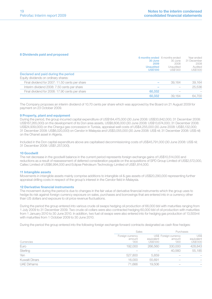#### 8 Dividends paid and proposed

|                                                | 6 months ended 6 months ended |           | Year ended  |
|------------------------------------------------|-------------------------------|-----------|-------------|
|                                                | 30 June                       | 30 June   | 31 December |
|                                                | 2009                          | 2008      | 2008        |
|                                                | <b>Unaudited</b>              | Unaudited | Audited     |
|                                                | <b>US\$'000</b>               | US\$'000  | US\$'000    |
| Declared and paid during the period            |                               |           |             |
| Equity dividends on ordinary shares:           |                               |           |             |
| Final dividend for 2007: 11.50 cents per share |                               | 39.164    | 39,164      |
| Interim dividend 2008: 7.50 cents per share    |                               |           | 25.536      |
| Final dividend for 2008: 17.90 cents per share | 60,332                        |           |             |
|                                                | 60.332                        | 39.164    | 64,700      |
|                                                |                               |           |             |

The Company proposes an interim dividend of 10.70 cents per share which was approved by the Board on 21 August 2009 for payment on 23 October 2009.

#### 9 Property, plant and equipment

During the period, the group incurred capital expenditure of US\$184,475,000 (30 June 2008: US\$33,842,000; 31 December 2008: US\$167,265,000) on the development of its Don area assets, US\$8,606,000 (30 June 2008: US\$13,674,000; 31 December 2008: US\$24,939,000) on the Chergui gas concession in Tunisia, appraisal well costs of US\$4,255,000 (30 June 2008: US\$5,132,000; 31 December 2008: US\$6,020,000) on Cendor in Malaysia and US\$3,055,000 (30 June 2008: US\$ nil; 31 December 2008: US\$ nil) on the Ohanet asset in Algeria.

Included in the Don capital expenditure above are capitalised decommissioning costs of US\$45,791,000 (30 June 2008: US\$ nil; 31 December 2008: US\$1,257,000).

#### 10 Goodwill

The net decrease in the goodwill balance in the current period represents foreign exchange gains of US\$10,514,000 and reductions as a result of reassessment of deferred consideration payable on the acquisitions of SPD Group Limited of US\$2,572,000, Caltec Limited of US\$6,994,000 and Eclipse Petroleum Technology Limited of US\$1,814,000.

#### 11 Intangible assets

Movements in intangible assets mainly comprise additions to intangible oil & gas assets of US\$20,290,000 representing further appraisal drilling costs in respect of the group's interest in the Cendor field in Malaysia.

### 12 Derivative financial instruments

The movement during the period is due to changes in the fair value of derivative financial instruments which the group uses to hedge its risk against foreign currency exposure on sales, purchases and borrowings that are entered into in a currency other than US dollars and exposure to oil price revenue fluctuations.

During the period the group entered into various crude oil swaps hedging oil production of 66,000 bbl with maturities ranging from 1 July 2009 to 31 December 2009. Two crude oil collars were also contracted hedging 60,000 bbl of oil production with maturities from 1 January 2010 to 30 June 2010. In addition, two fuel oil swaps were also entered into for hedging gas production of 13,500mt with maturities from 1 October 2009 to 30 June 2010.

During the period the group entered into the following foreign exchange forward contracts designated as cash flow hedges:

|                    |                                    | Sales                  |                                         | Purchases                      |  |
|--------------------|------------------------------------|------------------------|-----------------------------------------|--------------------------------|--|
| Currencies         | Foreign currency<br>amount<br>'000 | equivalent<br>US\$'000 | US\$ Foreign currency<br>amount<br>'000 | US\$<br>equivalent<br>US\$'000 |  |
| Euro               | 192.000                            | 266,560                | 330,000                                 | 428,843                        |  |
| Sterling           |                                    |                        | 40.560                                  | 55,185                         |  |
| Yen                | 527,800                            | 5.859                  | $\sim$                                  |                                |  |
| Kuwaiti Dinars     | 16,000                             | 55.691                 | $\sim$                                  |                                |  |
| <b>UAE Dirhams</b> | 71.666                             | 19.506                 | $\sim$                                  |                                |  |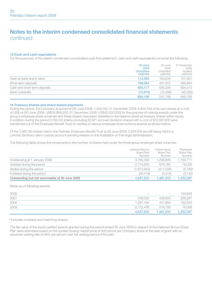### Notes to the interim condensed consolidated financial statements continued

#### 13 Cash and cash equivalents

For the purposes of the interim condensed consolidated cash flow statement, cash and cash equivalents comprise the following:

|                              | 30 June<br>2009                     | 30 June<br>2008       | 31 December<br>2008 |
|------------------------------|-------------------------------------|-----------------------|---------------------|
|                              | <b>Unaudited</b><br><b>US\$'000</b> | Unaudited<br>US\$'000 | Audited<br>US\$'000 |
| Cash at bank and in hand     | 112.093                             | 103.234               | 107.461             |
| Short-term deposits          | 788.084                             | 461.972               | 586.954             |
| Cash and short-term deposits | 900.177                             | 565,206               | 694,415             |
| Bank overdrafts              | (15.979)                            | (13.458)              | (45, 256)           |
|                              | 884.198                             | 551.748               | 649.159             |

### 14 Treasury shares and share-based payments

During the period, the Company acquired nil (30 June 2008: 1,554,194; 31 December 2008: 5,854,194) of its own shares at a cost of US\$ nil (30 June 2008: US\$16,969,000; 31 December 2008: US\$42,500,000) for the purpose of making awards under the group's employee share schemes and these shares have been classified in the balance sheet as treasury shares within equity. In addition during the period 2,158,122 shares (including 67,971 accrued dividend shares) with a cost of \$12,087,000 were transferred out of the Employee Benefit Trust on vesting of various employee share scheme awards as shown below.

Of the 7,382,184 shares held in the Petrofac Employee Benefit Trust at 30 June 2009, 5,504,819 are still being held in a Lehman Brothers client custody account pending release on the finalisation of their legal administration.

The following table shows the movements in the number of shares held under the three group employee share schemes:

|                                                 | Deferred Bonus<br>Share Plan*<br>Number | Performance<br>Share Plan<br>Number | Restricted<br>Share Plan<br>Number |
|-------------------------------------------------|-----------------------------------------|-------------------------------------|------------------------------------|
| Outstanding at 1 January 2009                   | 3.755.383                               | 1.298.809                           | 1,184,711                          |
| Granted during the period                       | 2.774.600                               | 576,780                             | 76,008                             |
| Vested during the period                        | (1,673,943)                             | (411.028)                           | (5, 180)                           |
| Forfeited during the period                     | (28.418)                                | (3.318)                             | (3, 142)                           |
| Outstanding but not exercisable at 30 June 2009 | 4,827,622                               | 1.461.243                           | 1,252,397                          |

Made up of following awards:

| 2006 | $\sim$    | $\hspace{0.1mm}-\hspace{0.1mm}$ | 154.649   |
|------|-----------|---------------------------------|-----------|
| 2007 | 758.022   | 436,603                         | 229,207   |
| 2008 | 1.297.164 | 447.860                         | 792.533   |
| 2009 | 2.772.436 | 576.780                         | 76,008    |
|      | 4.827.622 | 1.461.243                       | 1,252,397 |

\* Includes invested and matching shares.

The fair value of the equity-settled awards granted during the period ended 30 June 2009 in respect of the Deferred Bonus Share Plan were estimated based on the quoted closing market price of 545 pence per Company share at the date of grant with an assumed vesting rate of 99% per annum over the vesting period of the plan.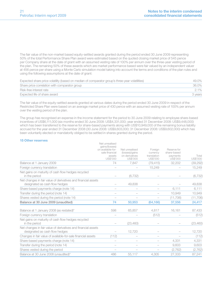The fair value of the non-market based equity-settled awards granted during the period ended 30 June 2009 representing 50% of the total Performance Share Plan award were estimated based on the quoted closing market price of 545 pence per Company share at the date of grant with an assumed vesting rate of 100% per annum over the three-year vesting period of the plan. The remaining 50% of these awards which are market performance based were fair valued by an independent valuer at 456 pence per share using a Monte Carlo simulation model taking into account the terms and conditions of the plan rules and using the following assumptions at the date of grant:

| Expected share price volatility (based on median of comparator group's three-year volatilities) | $49.0\%$ |
|-------------------------------------------------------------------------------------------------|----------|
| Share price correlation with comparator group                                                   | 36.0%    |
| Risk-free interest rate                                                                         | $2.1\%$  |
| Expected life of share award                                                                    | 3 vears  |

The fair value of the equity-settled awards granted at various dates during the period ended 30 June 2009 in respect of the Restricted Share Plan were based on an average market price of 430 pence with an assumed vesting rate of 100% per annum over the vesting period of the plan.

The group has recognised an expense in the income statement for the period to 30 June 2009 relating to employee share-based incentives of US\$6,111,000 (six months ended 30 June 2008: US\$4,331,000; year ended 31 December 2008: US\$9,448,000) which has been transferred to the reserve for share-based payments along with US\$10,949,000 of the remaining bonus liability accrued for the year ended 31 December 2008 (30 June 2008: US\$9,603,000; 31 December 2008: US\$9,602,000) which has been voluntarily elected or mandatorily obliged to be settled in shares granted during the period.

#### 15 Other reserves

|                                                                                                 | Net unrealised<br>gains/(losses)<br>on available-for-<br>sale financial<br>assets<br>US\$'000 | Net unrealised<br>(losses)/gains<br>on derivatives<br>US\$'000 | Foreign<br>currency<br>translation<br>US\$'000 | Reserve for<br>share-based<br>payments<br>US\$'000 | Total<br>US\$'000 |
|-------------------------------------------------------------------------------------------------|-----------------------------------------------------------------------------------------------|----------------------------------------------------------------|------------------------------------------------|----------------------------------------------------|-------------------|
| Balance at 1 January 2009                                                                       | 74                                                                                            | 7.847                                                          | (79, 415)                                      | 32.202                                             | (39, 292)         |
| Foreign currency translation                                                                    |                                                                                               |                                                                | 15.249                                         |                                                    | 15,249            |
| Net gains on maturity of cash flow hedges recycled<br>in the period                             |                                                                                               | (6, 732)                                                       |                                                |                                                    | (6, 732)          |
| Net changes in fair value of derivatives and financial assets<br>designated as cash flow hedges |                                                                                               | 49,838                                                         |                                                |                                                    | 49,838            |
| Share-based payments charge (note 14)                                                           | $\overline{\phantom{0}}$                                                                      |                                                                |                                                | 6.111                                              | 6,111             |
| Transfer during the period (note 14)                                                            |                                                                                               |                                                                |                                                | 10.949                                             | 10,949            |
| Shares vested during the period (note 14)                                                       | $\overline{\phantom{0}}$                                                                      |                                                                |                                                | (11,706)                                           | (11,706)          |
| Balance at 30 June 2009 (unaudited)                                                             | 74                                                                                            | 50,953                                                         | (64, 166)                                      | 37,556                                             | 24,417            |
| Balance at 1 January 2008 (as restated)*                                                        | 598                                                                                           | 65.857                                                         | 4.817                                          | 16.161                                             | 87,433            |
| Foreign currency translation                                                                    |                                                                                               |                                                                | (512)                                          |                                                    | (512)             |
| Net gains on maturity of cash flow hedges recycled<br>in the period                             |                                                                                               | (23, 460)                                                      |                                                |                                                    | (23, 460)         |
| Net changes in fair value of derivatives and financial assets<br>designated as cash flow hedges |                                                                                               | 12.720                                                         |                                                |                                                    | 12,720            |
| Changes in fair value of available-for-sale financial assets                                    | (112)                                                                                         |                                                                |                                                |                                                    | (112)             |
| Share-based payments charge (note 14)                                                           | -                                                                                             |                                                                |                                                | 4.331                                              | 4,331             |
| Transfer during the period (note 14)                                                            |                                                                                               |                                                                |                                                | 9,603                                              | 9,603             |
| Shares vested during the period                                                                 |                                                                                               |                                                                |                                                | (2,762)                                            | (2,762)           |
| Balance at 30 June 2008 (unaudited)*                                                            | 486                                                                                           | 55.117                                                         | 4.305                                          | 27.333                                             | 87,241            |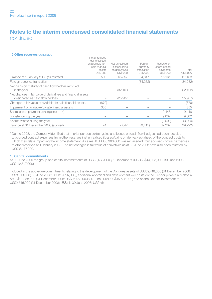### Notes to the interim condensed consolidated financial statements continued

Net unrealised

#### 15 Other reserves continued

|                                                                                                 | gains/(losses)<br>on available-for-<br>sale financial<br>assets<br>US\$'000 | Net unrealised<br>(losses)/gains<br>on derivatives<br>US\$'000 | Foreign<br>currency<br>translation<br>US\$'000 | Reserve for<br>share-based<br>payments<br>US\$'000 | Total<br>US\$'000 |
|-------------------------------------------------------------------------------------------------|-----------------------------------------------------------------------------|----------------------------------------------------------------|------------------------------------------------|----------------------------------------------------|-------------------|
| Balance at 1 January 2008 (as restated)*                                                        | 598                                                                         | 65.857                                                         | 4,817                                          | 16.161                                             | 87,433            |
| Foreign currency translation                                                                    |                                                                             |                                                                | (84, 232)                                      |                                                    | (84, 232)         |
| Net gains on maturity of cash flow hedges recycled<br>in the year                               |                                                                             | (32.103)                                                       |                                                |                                                    | (32, 103)         |
| Net changes in fair value of derivatives and financial assets<br>designated as cash flow hedges |                                                                             | (25,907)                                                       |                                                |                                                    | (25,907)          |
| Changes in fair value of available-for-sale financial assets                                    | (879)                                                                       |                                                                |                                                |                                                    | (879)             |
| Impairment of available-for-sale financial assets                                               | 355                                                                         |                                                                |                                                |                                                    | 355               |
| Share-based payments charge (note 14)                                                           |                                                                             |                                                                |                                                | 9.448                                              | 9,448             |
| Transfer during the year                                                                        |                                                                             |                                                                |                                                | 9.602                                              | 9,602             |
| Shares vested during the year                                                                   |                                                                             |                                                                |                                                | (3,009)                                            | (3,009)           |
| Balance at 31 December 2008 (audited)                                                           | 74                                                                          | 7.847                                                          | (79, 415)                                      | 32.202                                             | (39, 292)         |

\* During 2008, the Company identified that in prior periods certain gains and losses on cash flow hedges had been recycled to accrued contract expenses from other reserves (net unrealised (losses)/gains on derivatives) ahead of the contract costs to which they relate impacting the income statement. As a result US\$36,966,000 was reclassified from accrued contract expenses to other reserves at 1 January 2008. The net changes in fair value of derivatives as at 30 June 2008 have also been restated by US\$36,177,000.

#### 16 Capital commitments

At 30 June 2009 the group had capital commitments of US\$83,663,000 (31 December 2008: US\$44,035,000; 30 June 2008: US\$142,547,000).

Included in the above are commitments relating to the development of the Don area assets of US\$59,418,000 (31 December 2008: US\$8,610,000; 30 June 2008: US\$119,797,000), additional appraisal and development well costs on the Cendor project in Malaysia of US\$21,358,000 (31 December 2008: US\$26,468,000; 30 June 2008: US\$15,582,000) and on the Ohanet investment of US\$2,545,000 (31 December 2008: US\$ nil; 30 June 2008: US\$ nil).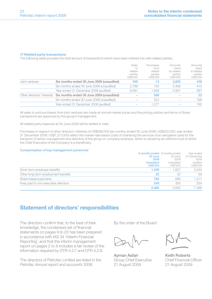#### 17 Related party transactions

The following table provides the total amount of transactions which have been entered into with related parties:

|                |                                                                      | Sales<br>ŤΟ<br>related<br>parties<br>US\$'000 | Purchases<br>from<br>related<br>parties<br>US\$'000 | Amounts<br>owed<br>by related<br>parties<br>US\$'000 | Amounts<br>owed<br>to related<br>parties<br>US\$'000 |
|----------------|----------------------------------------------------------------------|-----------------------------------------------|-----------------------------------------------------|------------------------------------------------------|------------------------------------------------------|
| Joint ventures | Six months ended 30 June 2009 (unaudited)                            | 349                                           | 13                                                  | 2.805                                                | 436                                                  |
|                | Six months ended 30 June 2008 (unaudited)                            | 2.768                                         | 104                                                 | 3.408                                                | 410                                                  |
|                | Year ended 31 December 2008 (audited)                                | 9.081                                         | 1.858                                               | 2.907                                                | 367                                                  |
|                | Other directors' interests Six months ended 30 June 2009 (unaudited) |                                               | 588                                                 |                                                      | 23                                                   |
|                | Six months ended 30 June 2008 (unaudited)                            |                                               | 522                                                 |                                                      | 168                                                  |
|                | Year ended 31 December 2008 (audited)                                |                                               | 1.277                                               |                                                      | 192                                                  |

All sales to and purchases from joint ventures are made at normal market prices and the pricing policies and terms of these transactions are approved by the group's management.

All related party balances at 30 June 2009 will be settled in cash.

Purchases in respect of other directors' interests of US\$588,000 (six months ended 30 June 2008: US\$522,000; year ended 31 December 2008: US\$1,277,000) reflect the market rate based costs of chartering the services of an aeroplane used for the transport of senior management and directors of the group on company business, which is owned by an offshore trust of which the Chief Executive of the Company is a beneficiary.

#### Compensation of key management personnel

|                                      | <b>b months ended</b> b months ended |           | rear engeg  |
|--------------------------------------|--------------------------------------|-----------|-------------|
|                                      | 30 June                              | 30 June   | 31 December |
|                                      | 2009                                 | 2008      | 2008        |
|                                      | <b>Unaudited</b>                     | Unaudited | Audited     |
|                                      | <b>US\$'000</b>                      | US\$'000  | US\$'000    |
| Short-term employee benefits         | 1.428                                | 1.627     | 5.542       |
| Other long-term employment benefits  | 23                                   | 33        | 59          |
| Share-based payments                 | 780                                  | 690       | 1.311       |
| Fees paid to non-executive directors | 249                                  | 305       | 554         |
|                                      | 2.480                                | 2.655     | 7.466       |

### Statement of directors' responsibilities

The directors confirm that, to the best of their knowledge, the condensed set of financial statements on pages 9 to 23 has been prepared in accordance with IAS 34 'Interim Financial Reporting', and that the interim management report on pages 2 to 8 includes a fair review of the information required by DTR 4.2.7 and DTR 4.2.8.

The directors of Petrofac Limited are listed in the *Petrofac Annual report and accounts 2008*.

By the order of the Board

Ayman Asfari Keith Roberts Group Chief Executive Chief Financial Officer 21 August 2009 21 August 2009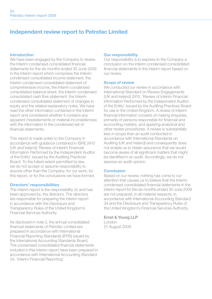### Independent review report to Petrofac Limited

### Introduction

We have been engaged by the Company to review the Interim condensed consolidated financial statements for the six months ended 30 June 2009 in the Interim report which comprises the Interim condensed consolidated income statement, the Interim condensed consolidated statement of comprehensive income, the Interim condensed consolidated balance sheet, the Interim condensed consolidated cash flow statement, the Interim condensed consolidated statement of changes in equity and the related explanatory notes. We have read the other information contained in the Interim report and considered whether it contains any apparent misstatements or material inconsistencies with the information in the condensed set of financial statements.

This report is made solely to the Company in accordance with guidance contained in ISRE 2410 (UK and Ireland) 'Review of Interim Financial Information Performed by the Independent Auditor of the Entity' issued by the Auditing Practices Board. To the fullest extent permitted by law, we do not accept or assume responsibility to anyone other than the Company, for our work, for this report, or for the conclusions we have formed.

### Directors' responsibilities

The interim report is the responsibility of, and has been approved by, the directors. The directors are responsible for preparing the interim report in accordance with the Disclosure and Transparency Rules of the United Kingdom's Financial Services Authority.

As disclosed in note 2, the annual consolidated financial statements of Petrofac Limited are prepared in accordance with International Financial Reporting Standards (IFRS) issued by the International Accounting Standards Board. The condensed consolidated financial statements included in this Interim report have been prepared in accordance with International Accounting Standard 34, 'Interim Financial Reporting'.

### Our responsibility

Our responsibility is to express to the Company a conclusion on the interim condensed consolidated financial statements in the interim report based on our review.

### Scope of review

We conducted our review in accordance with International Standard on Review Engagements (UK and Ireland) 2410, 'Review of Interim Financial Information Performed by the Independent Auditor of the Entity' issued by the Auditing Practices Board for use in the United Kingdom. A review of interim financial information consists of making enquiries. primarily of persons responsible for financial and accounting matters, and applying analytical and other review procedures. A review is substantially less in scope than an audit conducted in accordance with International Standards on Auditing (UK and Ireland) and consequently does not enable us to obtain assurance that we would become aware of all significant matters that might be identified in an audit. Accordingly, we do not express an audit opinion.

### Conclusion

Based on our review, nothing has come to our attention that causes us to believe that the Interim condensed consolidated financial statements in the interim report for the six months ended 30 June 2009 are not prepared, in all material respects, in accordance with International Accounting Standard 34 and the Disclosure and Transparency Rules of the United Kingdom's Financial Services Authority.

Ernst & Young LLP London 21 August 2009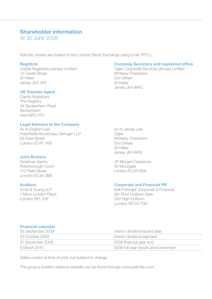### Shareholder information

At 30 June 2009

Petrofac shares are traded on the London Stock Exchange using code 'PFC.L'.

12 Castle Street **12 Castle Street 12 Castle Street** 12 Castle Street 12 Castle Street 12 Castle Street 12 Castle Street 12 Castle Street 12 Castle Street 12 Castle Street 12 Castle Street 12 Castle Street 12 Castle Street Jersey JF2 3RT

### UK Transfer Agent

Capita Registrars **The Registry** 34 Beckenham Road Beckenham Kent BR3 4TU

### Legal Advisers to the Company

*As to English Law As to Jersey Law* Freshfields Bruckhaus Deringer LLP Ogier<br>65 Fleet Street White London EC4Y 1HS Don Street

## **Joint Brokers**<br>Goldman Sachs

Peterborough Court 113 Fleet Street **London EC2R 6DA** London EC4A 2BB

# **Registrar Company Secretary and registered office**<br>Capita Registrars (Jersey) Limited **Capital Company Secretary and registered office**

Capita Registrars (Jersey) Limited Ogier Corporate Services (Jersey) Limited Don Street<br>St Helier Jersey JE4 9WG

> Whiteley Chambers St Helier Jersey JE4 9WG

JP Morgan Cazenove<br>20 Moorgate

## **Auditors**<br> **Auditors**<br>
Ernst & Young LLP<br>
Corporate & Financial PR<br>
Bell Pottinger Corporate & Financial PR

Ernst & Young LLP<br>
1 More London Place<br>
1 More London Place<br>
1 Gth Floor Holborn Gate 1 More London Place 6th Floor Holborn Gate<br>1 ondon SE1 24F 330 High Holborn London WC1V 7QD

### Financial calendar

| 25 September 2009 | Interim dividend record date        |
|-------------------|-------------------------------------|
| 23 October 2009   | Interim dividend payment            |
| 31 December 2009  | 2009 financial year end             |
| 8 March 2010      | 2009 full year results announcement |

Dates correct at time of print, but subject to change

The group's investor relations website can be found through www.petrofac.com